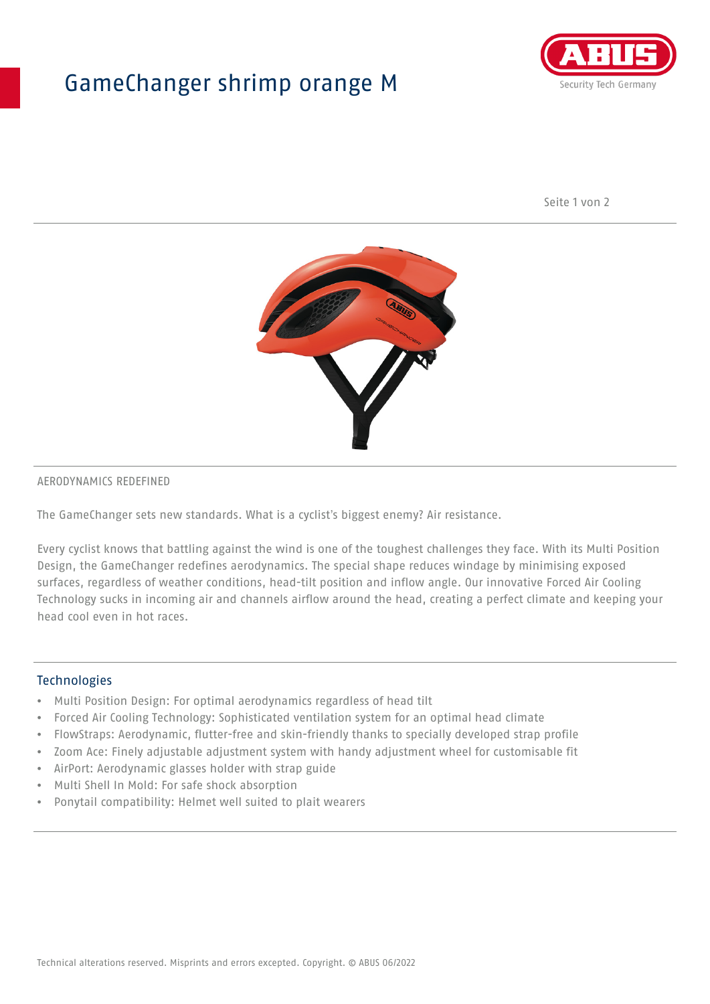## GameChanger shrimp orange M



Seite 1 von 2



#### AERODYNAMICS REDEFINED

The GameChanger sets new standards. What is a cyclist's biggest enemy? Air resistance.

Every cyclist knows that battling against the wind is one of the toughest challenges they face. With its Multi Position Design, the GameChanger redefines aerodynamics. The special shape reduces windage by minimising exposed surfaces, regardless of weather conditions, head-tilt position and inflow angle. Our innovative Forced Air Cooling Technology sucks in incoming air and channels airflow around the head, creating a perfect climate and keeping your head cool even in hot races.

#### Technologies

- Multi Position Design: For optimal aerodynamics regardless of head tilt
- Forced Air Cooling Technology: Sophisticated ventilation system for an optimal head climate
- FlowStraps: Aerodynamic, flutter-free and skin-friendly thanks to specially developed strap profile
- Zoom Ace: Finely adjustable adjustment system with handy adjustment wheel for customisable fit
- AirPort: Aerodynamic glasses holder with strap guide
- Multi Shell In Mold: For safe shock absorption
- Ponytail compatibility: Helmet well suited to plait wearers